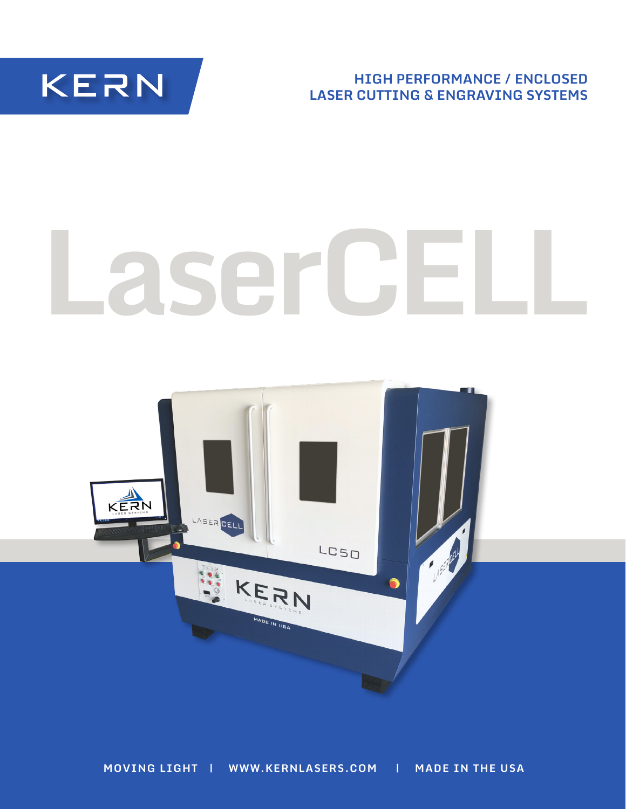**KERN** 

**HIGH PERFORMANCE / ENCLOSED LASER CUTTING & ENGRAVING SYSTEMS**

# **LaserCELL**